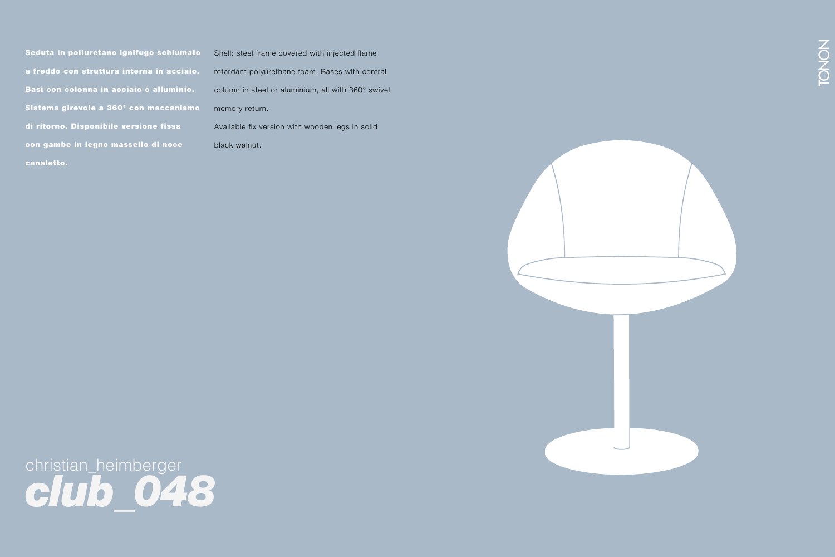Seduta in poliuretano ignifugo schiumato a freddo con struttura interna in acciaio. Basi con colonna in acciaio o alluminio. Sistema girevole a 360° con meccanismo di ritorno. Disponibile versione fissa con gambe in legno massello di noce canaletto.

Shell: steel frame covered with injected flame retardant polyurethane foam. Bases with central column in steel or aluminium, all with 360° swivel memory return. Available fix version with wooden legs in solid black walnut.



christian\_heimberger *club\_048*